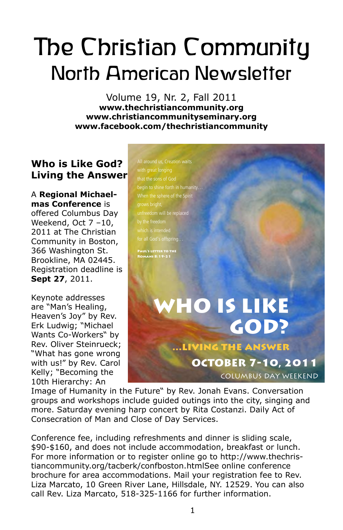# The Christian Community North American Newsletter

Volume 19, Nr. 2, Fall 2011 **www.thechristiancommunity.org www.christiancommunityseminary.org www.facebook.com/thechristiancommunity**

## **Who is Like God? Living the Answer**

A **Regional Michaelmas Conference** is offered Columbus Day Weekend, Oct 7 –10, 2011 at The Christian Community in Boston, 366 Washington St. Brookline, MA 02445. Registration deadline is **Sept 27**, 2011.

Keynote addresses are "Man's Healing, Heaven's Joy" by Rev. Erk Ludwig; "Michael Wants Co-Workers" by Rev. Oliver Steinrueck; "What has gone wrong with us!" by Rev. Carol Kelly; "Becoming the 10th Hierarchy: An

All around us, Creation waits that the sons of God begin to shine forth in humanity When the sphere of the Spirit grows bright, unfreedom will be replaced for all God's offspring…

Paul's letter to the Romans 8:19-21

## WHO IS LIKE GOD? LIVING THE ANSWER OCTOBER 7-10, 2011 COLUMBUS DAY WEEKEND

Image of Humanity in the Future" by Rev. Jonah Evans. Conversation groups and workshops include guided outings into the city, singing and more. Saturday evening harp concert by Rita Costanzi. Daily Act of Consecration of Man and Close of Day Services.

Conference fee, including refreshments and dinner is sliding scale, someronee rec, melaling remestiments and all liftier is sitaily searcy.<br>\$90-\$160, and does not include accommodation, breakfast or lunch. For more information or to register online go to http://www.thechristiancommunity.org/tacberk/confboston.htmlSee online conference brochure for area accommodations. Mail your registration fee to Rev. Liza Marcato, 10 Green River Lane, Hillsdale, NY. 12529. You can also call Rev. Liza Marcato, 518-325-1166 for further information.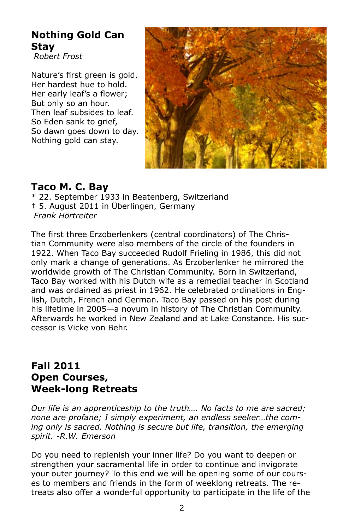## **Nothing Gold Can Stay**

*Robert Frost*

Nature's first green is gold, Her hardest hue to hold. Her early leaf's a flower; But only so an hour. Then leaf subsides to leaf. So Eden sank to grief, So dawn goes down to day. Nothing gold can stay.



## **Taco M. C. Bay**

\* 22. September 1933 in Beatenberg, Switzerland † 5. August 2011 in Überlingen, Germany *Frank Hörtreiter*

The first three Erzoberlenkers (central coordinators) of The Christian Community were also members of the circle of the founders in 1922. When Taco Bay succeeded Rudolf Frieling in 1986, this did not only mark a change of generations. As Erzoberlenker he mirrored the worldwide growth of The Christian Community. Born in Switzerland, Taco Bay worked with his Dutch wife as a remedial teacher in Scotland and was ordained as priest in 1962. He celebrated ordinations in English, Dutch, French and German. Taco Bay passed on his post during his lifetime in 2005—a novum in history of The Christian Community. Afterwards he worked in New Zealand and at Lake Constance. His successor is Vicke von Behr.

## **Fall 2011 Open Courses, Week-long Retreats**

*Our life is an apprenticeship to the truth…. No facts to me are sacred; none are profane; I simply experiment, an endless seeker…the coming only is sacred. Nothing is secure but life, transition, the emerging spirit. -R.W. Emerson* 

Do you need to replenish your inner life? Do you want to deepen or strengthen your sacramental life in order to continue and invigorate your outer journey? To this end we will be opening some of our courses to members and friends in the form of weeklong retreats. The retreats also offer a wonderful opportunity to participate in the life of the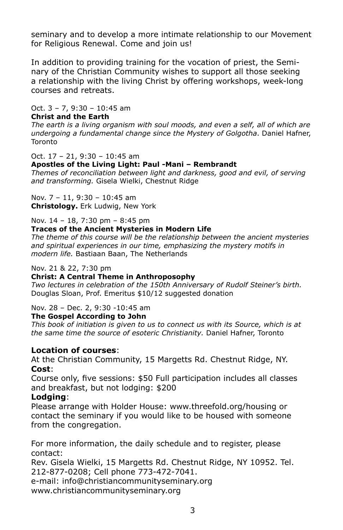seminary and to develop a more intimate relationship to our Movement for Religious Renewal. Come and join us!

In addition to providing training for the vocation of priest, the Seminary of the Christian Community wishes to support all those seeking a relationship with the living Christ by offering workshops, week-long courses and retreats.

Oct. 3 – 7, 9:30 – 10:45 am

#### **Christ and the Earth**

*The earth is a living organism with soul moods, and even a self, all of which are undergoing a fundamental change since the Mystery of Golgotha*. Daniel Hafner, Toronto

#### Oct. 17 – 21, 9:30 – 10:45 am

#### **Apostles of the Living Light: Paul -Mani – Rembrandt**

*Themes of reconciliation between light and darkness, good and evil, of serving and transforming.* Gisela Wielki, Chestnut Ridge

Nov. 7 – 11, 9:30 – 10:45 am **Christology.** Erk Ludwig, New York

Nov. 14 – 18, 7:30 pm – 8:45 pm

## **Traces of the Ancient Mysteries in Modern Life**

*The theme of this course will be the relationship between the ancient mysteries and spiritual experiences in our time, emphasizing the mystery motifs in modern life.* Bastiaan Baan, The Netherlands

#### Nov. 21 & 22, 7:30 pm

#### **Christ: A Central Theme in Anthroposophy**

*Two lectures in celebration of the 150th Anniversary of Rudolf Steiner's birth.*  Douglas Sloan, Prof. Emeritus \$10/12 suggested donation

#### Nov. 28 – Dec. 2, 9:30 -10:45 am

#### **The Gospel According to John**

*This book of initiation is given to us to connect us with its Source, which is at the same time the source of esoteric Christianity.* Daniel Hafner, Toronto

#### **Location of courses**:

At the Christian Community, 15 Margetts Rd. Chestnut Ridge, NY. **Cost**:

Course only, five sessions: \$50 Full participation includes all classes and breakfast, but not lodging: \$200

#### **Lodging**:

Please arrange with Holder House: www.threefold.org/housing or contact the seminary if you would like to be housed with someone from the congregation.

For more information, the daily schedule and to register, please contact:

Rev. Gisela Wielki, 15 Margetts Rd. Chestnut Ridge, NY 10952. Tel. 212-877-0208; Cell phone 773-472-7041.

e-mail: info@christiancommunityseminary.org

www.christiancommunityseminary.org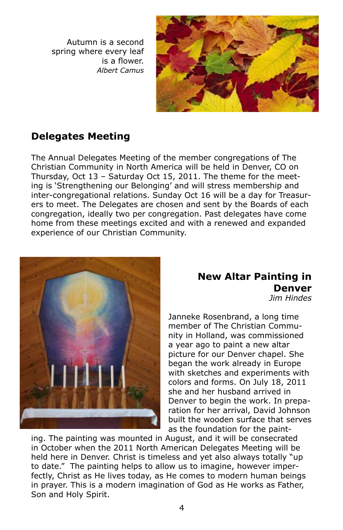Autumn is a second spring where every leaf is a flower. *Albert Camus*



## **Delegates Meeting**

The Annual Delegates Meeting of the member congregations of The Christian Community in North America will be held in Denver, CO on Thursday, Oct 13 – Saturday Oct 15, 2011. The theme for the meeting is 'Strengthening our Belonging' and will stress membership and inter-congregational relations. Sunday Oct 16 will be a day for Treasurers to meet. The Delegates are chosen and sent by the Boards of each congregation, ideally two per congregation. Past delegates have come home from these meetings excited and with a renewed and expanded experience of our Christian Community.



#### **New Altar Painting in Denver** *Jim Hindes*

Janneke Rosenbrand, a long time member of The Christian Community in Holland, was commissioned a year ago to paint a new altar picture for our Denver chapel. She began the work already in Europe with sketches and experiments with colors and forms. On July 18, 2011 she and her husband arrived in Denver to begin the work. In preparation for her arrival, David Johnson built the wooden surface that serves as the foundation for the paint-

ing. The painting was mounted in August, and it will be consecrated in October when the 2011 North American Delegates Meeting will be held here in Denver. Christ is timeless and yet also always totally "up to date." The painting helps to allow us to imagine, however imperfectly, Christ as He lives today, as He comes to modern human beings in prayer. This is a modern imagination of God as He works as Father, Son and Holy Spirit.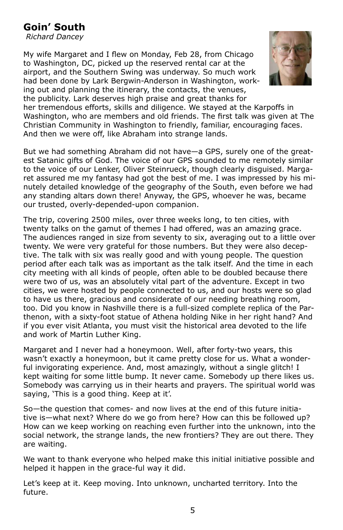## **Goin' South**

*Richard Dancey*

My wife Margaret and I flew on Monday, Feb 28, from Chicago to Washington, DC, picked up the reserved rental car at the airport, and the Southern Swing was underway. So much work had been done by Lark Bergwin-Anderson in Washington, working out and planning the itinerary, the contacts, the venues, the publicity. Lark deserves high praise and great thanks for



her tremendous efforts, skills and diligence. We stayed at the Karpoffs in Washington, who are members and old friends. The first talk was given at The Christian Community in Washington to friendly, familiar, encouraging faces. And then we were off, like Abraham into strange lands.

But we had something Abraham did not have—a GPS, surely one of the greatest Satanic gifts of God. The voice of our GPS sounded to me remotely similar to the voice of our Lenker, Oliver Steinrueck, though clearly disguised. Margaret assured me my fantasy had got the best of me. I was impressed by his minutely detailed knowledge of the geography of the South, even before we had any standing altars down there! Anyway, the GPS, whoever he was, became our trusted, overly-depended-upon companion.

The trip, covering 2500 miles, over three weeks long, to ten cities, with twenty talks on the gamut of themes I had offered, was an amazing grace. The audiences ranged in size from seventy to six, averaging out to a little over twenty. We were very grateful for those numbers. But they were also deceptive. The talk with six was really good and with young people. The question period after each talk was as important as the talk itself. And the time in each city meeting with all kinds of people, often able to be doubled because there were two of us, was an absolutely vital part of the adventure. Except in two cities, we were hosted by people connected to us, and our hosts were so glad to have us there, gracious and considerate of our needing breathing room, too. Did you know in Nashville there is a full-sized complete replica of the Parthenon, with a sixty-foot statue of Athena holding Nike in her right hand? And if you ever visit Atlanta, you must visit the historical area devoted to the life and work of Martin Luther King.

Margaret and I never had a honeymoon. Well, after forty-two years, this wasn't exactly a honeymoon, but it came pretty close for us. What a wonderful invigorating experience. And, most amazingly, without a single glitch! I kept waiting for some little bump. It never came. Somebody up there likes us. Somebody was carrying us in their hearts and prayers. The spiritual world was saying, 'This is a good thing. Keep at it'.

So—the question that comes- and now lives at the end of this future initiative is—what next? Where do we go from here? How can this be followed up? How can we keep working on reaching even further into the unknown, into the social network, the strange lands, the new frontiers? They are out there. They are waiting.

We want to thank everyone who helped make this initial initiative possible and helped it happen in the grace-ful way it did.

Let's keep at it. Keep moving. Into unknown, uncharted territory. Into the future.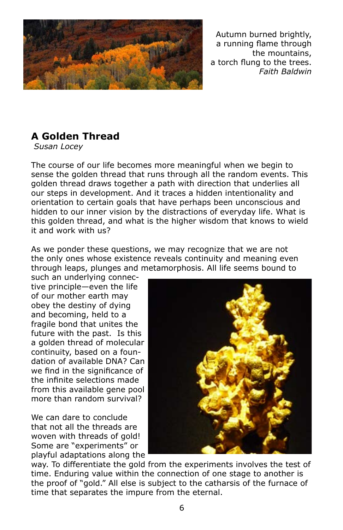

Autumn burned brightly, a running flame through the mountains, a torch flung to the trees. *Faith Baldwin*

## **A Golden Thread**

*Susan Locey*

The course of our life becomes more meaningful when we begin to sense the golden thread that runs through all the random events. This golden thread draws together a path with direction that underlies all our steps in development. And it traces a hidden intentionality and orientation to certain goals that have perhaps been unconscious and hidden to our inner vision by the distractions of everyday life. What is this golden thread, and what is the higher wisdom that knows to wield it and work with us?

As we ponder these questions, we may recognize that we are not the only ones whose existence reveals continuity and meaning even through leaps, plunges and metamorphosis. All life seems bound to

such an underlying connective principle—even the life of our mother earth may obey the destiny of dying and becoming, held to a fragile bond that unites the future with the past. Is this a golden thread of molecular continuity, based on a foundation of available DNA? Can we find in the significance of the infinite selections made from this available gene pool more than random survival?

We can dare to conclude that not all the threads are woven with threads of gold! Some are "experiments" or playful adaptations along the



way. To differentiate the gold from the experiments involves the test of time. Enduring value within the connection of one stage to another is the proof of "gold." All else is subject to the catharsis of the furnace of time that separates the impure from the eternal.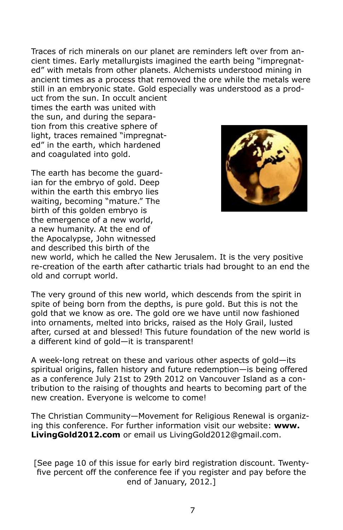Traces of rich minerals on our planet are reminders left over from ancient times. Early metallurgists imagined the earth being "impregnated" with metals from other planets. Alchemists understood mining in ancient times as a process that removed the ore while the metals were still in an embryonic state. Gold especially was understood as a prod-

uct from the sun. In occult ancient times the earth was united with the sun, and during the separation from this creative sphere of light, traces remained "impregnated" in the earth, which hardened and coagulated into gold.

The earth has become the guardian for the embryo of gold. Deep within the earth this embryo lies waiting, becoming "mature." The birth of this golden embryo is the emergence of a new world, a new humanity. At the end of the Apocalypse, John witnessed and described this birth of the



new world, which he called the New Jerusalem. It is the very positive re-creation of the earth after cathartic trials had brought to an end the old and corrupt world.

The very ground of this new world, which descends from the spirit in spite of being born from the depths, is pure gold. But this is not the gold that we know as ore. The gold ore we have until now fashioned into ornaments, melted into bricks, raised as the Holy Grail, lusted after, cursed at and blessed! This future foundation of the new world is a different kind of gold—it is transparent!

A week-long retreat on these and various other aspects of gold—its spiritual origins, fallen history and future redemption—is being offered as a conference July 21st to 29th 2012 on Vancouver Island as a contribution to the raising of thoughts and hearts to becoming part of the new creation. Everyone is welcome to come!

The Christian Community—Movement for Religious Renewal is organizing this conference. For further information visit our website: **www. LivingGold2012.com** or email us LivingGold2012@gmail.com.

[See page 10 of this issue for early bird registration discount. Twentyfive percent off the conference fee if you register and pay before the end of January, 2012.]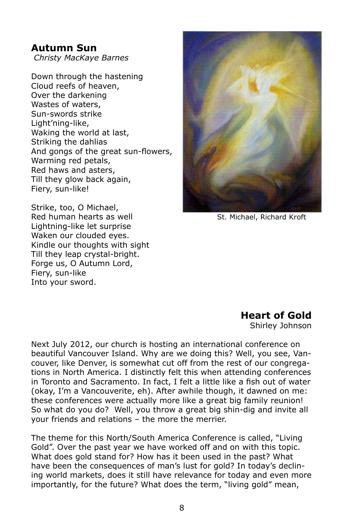## **Autumn Sun**

*Christy MacKaye Barnes*

Down through the hastening Cloud reefs of heaven, Over the darkening Wastes of waters, Sun-swords strike Light'ning-like, Waking the world at last, Striking the dahlias And gongs of the great sun-flowers, Warming red petals, Red haws and asters, Till they glow back again, Fiery, sun-like!

Strike, too, O Michael, Red human hearts as well Lightning-like let surprise Waken our clouded eyes. Kindle our thoughts with sight Till they leap crystal-bright. Forge us, O Autumn Lord, Fiery, sun-like Into your sword.



St. Michael, Richard Kroft

### **Heart of Gold**

Shirley Johnson

Next July 2012, our church is hosting an international conference on beautiful Vancouver Island. Why are we doing this? Well, you see, Vancouver, like Denver, is somewhat cut off from the rest of our congregations in North America. I distinctly felt this when attending conferences in Toronto and Sacramento. In fact, I felt a little like a fish out of water (okay, I'm a Vancouverite, eh). After awhile though, it dawned on me: these conferences were actually more like a great big family reunion! So what do you do? Well, you throw a great big shin-dig and invite all your friends and relations – the more the merrier.

The theme for this North/South America Conference is called, "Living Gold". Over the past year we have worked off and on with this topic. What does gold stand for? How has it been used in the past? What have been the consequences of man's lust for gold? In today's declining world markets, does it still have relevance for today and even more importantly, for the future? What does the term, "living gold" mean,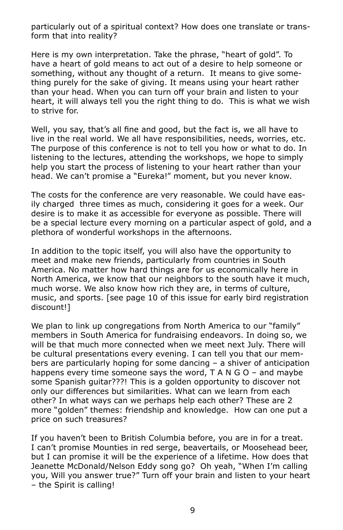particularly out of a spiritual context? How does one translate or transform that into reality?

Here is my own interpretation. Take the phrase, "heart of gold". To have a heart of gold means to act out of a desire to help someone or something, without any thought of a return. It means to give something purely for the sake of giving. It means using your heart rather than your head. When you can turn off your brain and listen to your heart, it will always tell you the right thing to do. This is what we wish to strive for.

Well, you say, that's all fine and good, but the fact is, we all have to live in the real world. We all have responsibilities, needs, worries, etc. The purpose of this conference is not to tell you how or what to do. In listening to the lectures, attending the workshops, we hope to simply help you start the process of listening to your heart rather than your head. We can't promise a "Eureka!" moment, but you never know.

The costs for the conference are very reasonable. We could have easily charged three times as much, considering it goes for a week. Our desire is to make it as accessible for everyone as possible. There will be a special lecture every morning on a particular aspect of gold, and a plethora of wonderful workshops in the afternoons.

In addition to the topic itself, you will also have the opportunity to meet and make new friends, particularly from countries in South America. No matter how hard things are for us economically here in North America, we know that our neighbors to the south have it much, much worse. We also know how rich they are, in terms of culture, music, and sports. [see page 10 of this issue for early bird registration discount!]

We plan to link up congregations from North America to our "family" members in South America for fundraising endeavors. In doing so, we will be that much more connected when we meet next July. There will be cultural presentations every evening. I can tell you that our members are particularly hoping for some dancing – a shiver of anticipation happens every time someone says the word, T A N G O - and maybe some Spanish guitar???! This is a golden opportunity to discover not only our differences but similarities. What can we learn from each other? In what ways can we perhaps help each other? These are 2 more "golden" themes: friendship and knowledge. How can one put a price on such treasures?

If you haven't been to British Columbia before, you are in for a treat. I can't promise Mounties in red serge, beavertails, or Moosehead beer, but I can promise it will be the experience of a lifetime. How does that Jeanette McDonald/Nelson Eddy song go? Oh yeah, "When I'm calling you, Will you answer true?" Turn off your brain and listen to your heart – the Spirit is calling!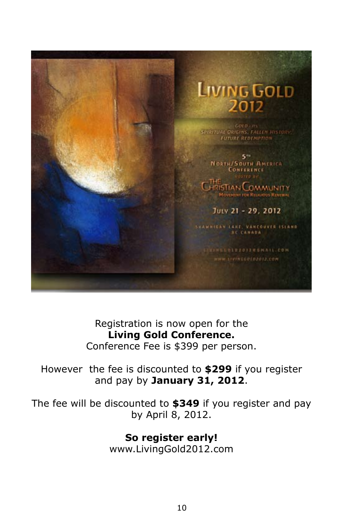

Registration is now open for the **Living Gold Conference.** Conference Fee is \$399 per person.

## However the fee is discounted to **\$299** if you register and pay by **January 31, 2012**.

The fee will be discounted to **\$349** if you register and pay by April 8, 2012.

> **So register early!** www.LivingGold2012.com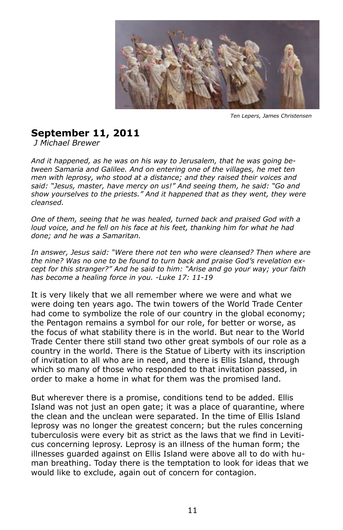

*Ten Lepers, James Christensen*

## **September 11, 2011**

*J Michael Brewer*

*And it happened, as he was on his way to Jerusalem, that he was going between Samaria and Galilee. And on entering one of the villages, he met ten men with leprosy, who stood at a distance; and they raised their voices and said: "Jesus, master, have mercy on us!" And seeing them, he said: "Go and show yourselves to the priests." And it happened that as they went, they were cleansed.* 

*One of them, seeing that he was healed, turned back and praised God with a loud voice, and he fell on his face at his feet, thanking him for what he had done; and he was a Samaritan.*

In answer, Jesus said: "Were there not ten who were cleansed? Then where are *the nine? Was no one to be found to turn back and praise God's revelation except for this stranger?" And he said to him: "Arise and go your way; your faith has become a healing force in you. -Luke 17: 11-19*

It is very likely that we all remember where we were and what we were doing ten years ago. The twin towers of the World Trade Center had come to symbolize the role of our country in the global economy; the Pentagon remains a symbol for our role, for better or worse, as the focus of what stability there is in the world. But near to the World Trade Center there still stand two other great symbols of our role as a country in the world. There is the Statue of Liberty with its inscription of invitation to all who are in need, and there is Ellis Island, through which so many of those who responded to that invitation passed, in order to make a home in what for them was the promised land.

But wherever there is a promise, conditions tend to be added. Ellis Island was not just an open gate; it was a place of quarantine, where the clean and the unclean were separated. In the time of Ellis Island leprosy was no longer the greatest concern; but the rules concerning tuberculosis were every bit as strict as the laws that we find in Leviticus concerning leprosy. Leprosy is an illness of the human form; the illnesses guarded against on Ellis Island were above all to do with human breathing. Today there is the temptation to look for ideas that we would like to exclude, again out of concern for contagion.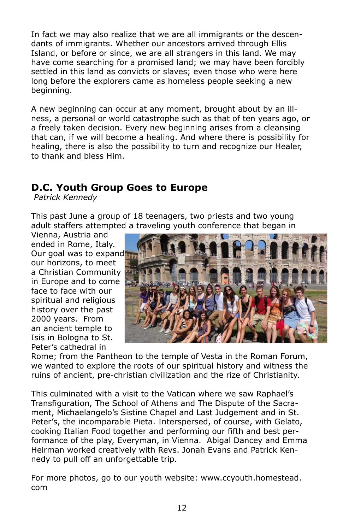In fact we may also realize that we are all immigrants or the descendants of immigrants. Whether our ancestors arrived through Ellis Island, or before or since, we are all strangers in this land. We may have come searching for a promised land; we may have been forcibly settled in this land as convicts or slaves; even those who were here long before the explorers came as homeless people seeking a new beginning.

A new beginning can occur at any moment, brought about by an illness, a personal or world catastrophe such as that of ten years ago, or a freely taken decision. Every new beginning arises from a cleansing that can, if we will become a healing. And where there is possibility for healing, there is also the possibility to turn and recognize our Healer, to thank and bless Him.

## **D.C. Youth Group Goes to Europe**

*Patrick Kennedy*

This past June a group of 18 teenagers, two priests and two young adult staffers attempted a traveling youth conference that began in

Vienna, Austria and ended in Rome, Italy. Our goal was to expand our horizons, to meet a Christian Community in Europe and to come face to face with our spiritual and religious history over the past 2000 years. From an ancient temple to Isis in Bologna to St. Peter's cathedral in



Rome; from the Pantheon to the temple of Vesta in the Roman Forum, we wanted to explore the roots of our spiritual history and witness the ruins of ancient, pre-christian civilization and the rize of Christianity.

This culminated with a visit to the Vatican where we saw Raphael's Transfiguration, The School of Athens and The Dispute of the Sacrament, Michaelangelo's Sistine Chapel and Last Judgement and in St. Peter's, the incomparable Pieta. Interspersed, of course, with Gelato, cooking Italian Food together and performing our fifth and best performance of the play, Everyman, in Vienna. Abigal Dancey and Emma Heirman worked creatively with Revs. Jonah Evans and Patrick Kennedy to pull off an unforgettable trip.

For more photos, go to our youth website: www.ccyouth.homestead. com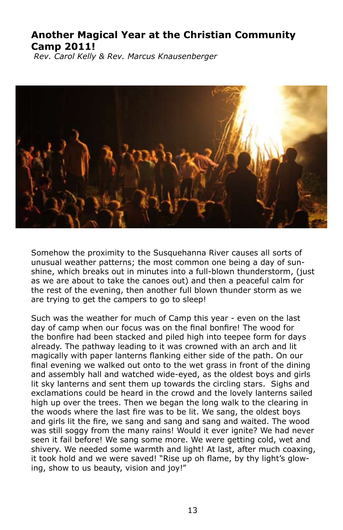## **Another Magical Year at the Christian Community Camp 2011!**

*Rev. Carol Kelly & Rev. Marcus Knausenberger*



Somehow the proximity to the Susquehanna River causes all sorts of unusual weather patterns; the most common one being a day of sunshine, which breaks out in minutes into a full-blown thunderstorm, (just as we are about to take the canoes out) and then a peaceful calm for the rest of the evening, then another full blown thunder storm as we are trying to get the campers to go to sleep!

Such was the weather for much of Camp this year - even on the last day of camp when our focus was on the final bonfire! The wood for the bonfire had been stacked and piled high into teepee form for days already. The pathway leading to it was crowned with an arch and lit magically with paper lanterns flanking either side of the path. On our final evening we walked out onto to the wet grass in front of the dining and assembly hall and watched wide-eyed, as the oldest boys and girls lit sky lanterns and sent them up towards the circling stars. Sighs and exclamations could be heard in the crowd and the lovely lanterns sailed high up over the trees. Then we began the long walk to the clearing in the woods where the last fire was to be lit. We sang, the oldest boys and girls lit the fire, we sang and sang and sang and waited. The wood was still soggy from the many rains! Would it ever ignite? We had never seen it fail before! We sang some more. We were getting cold, wet and shivery. We needed some warmth and light! At last, after much coaxing, it took hold and we were saved! "Rise up oh flame, by thy light's glowing, show to us beauty, vision and joy!"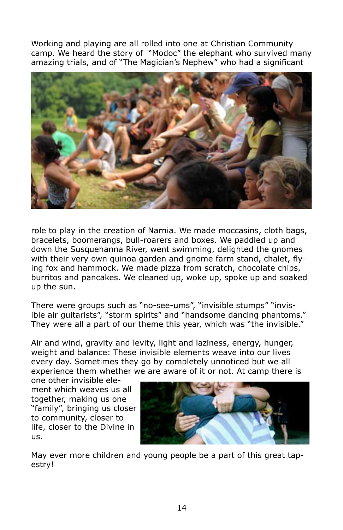Working and playing are all rolled into one at Christian Community camp. We heard the story of "Modoc" the elephant who survived many amazing trials, and of "The Magician's Nephew" who had a significant



role to play in the creation of Narnia. We made moccasins, cloth bags, bracelets, boomerangs, bull-roarers and boxes. We paddled up and down the Susquehanna River, went swimming, delighted the gnomes with their very own quinoa garden and gnome farm stand, chalet, flying fox and hammock. We made pizza from scratch, chocolate chips, burritos and pancakes. We cleaned up, woke up, spoke up and soaked up the sun.

There were groups such as "no-see-ums", "invisible stumps" "invisible air guitarists", "storm spirits" and "handsome dancing phantoms." They were all a part of our theme this year, which was "the invisible."

Air and wind, gravity and levity, light and laziness, energy, hunger, weight and balance: These invisible elements weave into our lives every day. Sometimes they go by completely unnoticed but we all experience them whether we are aware of it or not. At camp there is

one other invisible element which weaves us all together, making us one "family", bringing us closer to community, closer to life, closer to the Divine in us.



May ever more children and young people be a part of this great tapestry!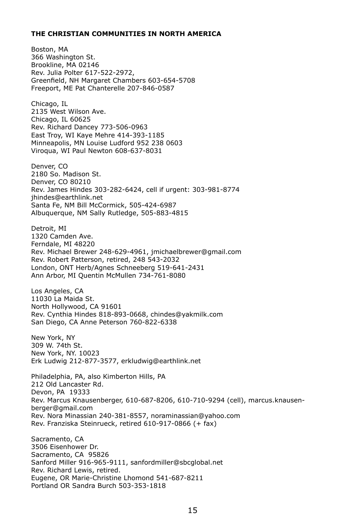#### **THE CHRISTIAN COMMUNITIES IN NORTH AMERICA**

Boston, MA 366 Washington St. Brookline, MA 02146 Rev. Julia Polter 617-522-2972, Greenfield, NH Margaret Chambers 603-654-5708 Freeport, ME Pat Chanterelle 207-846-0587 Chicago, IL 2135 West Wilson Ave. Chicago, IL 60625 Rev. Richard Dancey 773-506-0963 East Troy, WI Kaye Mehre 414-393-1185 Minneapolis, MN Louise Ludford 952 238 0603 Viroqua, WI Paul Newton 608-637-8031 Denver, CO 2180 So. Madison St. Denver, CO 80210 Rev. James Hindes 303-282-6424, cell if urgent: 303-981-8774 jhindes@earthlink.net Santa Fe, NM Bill McCormick, 505-424-6987 Albuquerque, NM Sally Rutledge, 505-883-4815 Detroit, MI 1320 Camden Ave. Ferndale, MI 48220 Rev. Michael Brewer 248-629-4961, jmichaelbrewer@gmail.com Rev. Robert Patterson, retired, 248 543-2032 London, ONT Herb/Agnes Schneeberg 519-641-2431 Ann Arbor, MI Quentin McMullen 734-761-8080 Los Angeles, CA 11030 La Maida St. North Hollywood, CA 91601 Rev. Cynthia Hindes 818-893-0668, chindes@yakmilk.com San Diego, CA Anne Peterson 760-822-6338 New York, NY 309 W. 74th St. New York, NY. 10023 Erk Ludwig 212-877-3577, erkludwig@earthlink.net Philadelphia, PA, also Kimberton Hills, PA 212 Old Lancaster Rd. Devon, PA 19333 Rev. Marcus Knausenberger, 610-687-8206, 610-710-9294 (cell), marcus.knausenberger@gmail.com Rev. Nora Minassian 240-381-8557, noraminassian@yahoo.com Rev. Franziska Steinrueck, retired 610-917-0866 (+ fax) Sacramento, CA 3506 Eisenhower Dr. Sacramento, CA 95826 Sanford Miller 916-965-9111, sanfordmiller@sbcglobal.net Rev. Richard Lewis, retired. Eugene, OR Marie-Christine Lhomond 541-687-8211 Portland OR Sandra Burch 503-353-1818